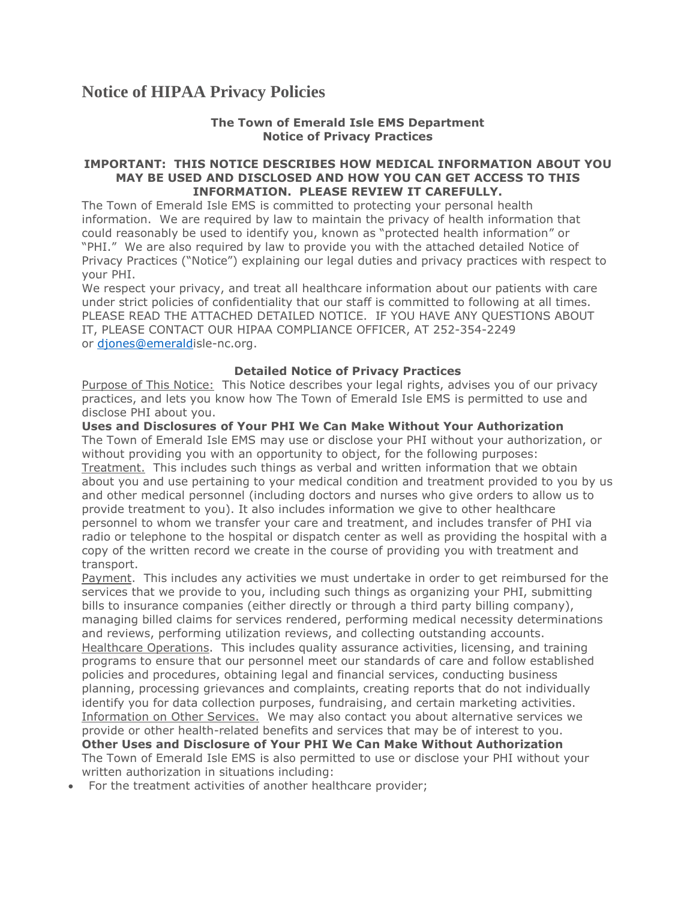# **Notice of HIPAA Privacy Policies**

#### **The Town of Emerald Isle EMS Department Notice of Privacy Practices**

#### **IMPORTANT: THIS NOTICE DESCRIBES HOW MEDICAL INFORMATION ABOUT YOU MAY BE USED AND DISCLOSED AND HOW YOU CAN GET ACCESS TO THIS INFORMATION. PLEASE REVIEW IT CAREFULLY.**

The Town of Emerald Isle EMS is committed to protecting your personal health information. We are required by law to maintain the privacy of health information that could reasonably be used to identify you, known as "protected health information" or "PHI." We are also required by law to provide you with the attached detailed Notice of Privacy Practices ("Notice") explaining our legal duties and privacy practices with respect to your PHI.

We respect your privacy, and treat all healthcare information about our patients with care under strict policies of confidentiality that our staff is committed to following at all times. PLEASE READ THE ATTACHED DETAILED NOTICE. IF YOU HAVE ANY QUESTIONS ABOUT IT, PLEASE CONTACT OUR HIPAA COMPLIANCE OFFICER, AT 252-354-2249 or diones@emeraldisle-nc.org.

#### **Detailed Notice of Privacy Practices**

Purpose of This Notice: This Notice describes your legal rights, advises you of our privacy practices, and lets you know how The Town of Emerald Isle EMS is permitted to use and disclose PHI about you.

**Uses and Disclosures of Your PHI We Can Make Without Your Authorization**

The Town of Emerald Isle EMS may use or disclose your PHI without your authorization, or without providing you with an opportunity to object, for the following purposes: Treatment. This includes such things as verbal and written information that we obtain about you and use pertaining to your medical condition and treatment provided to you by us and other medical personnel (including doctors and nurses who give orders to allow us to provide treatment to you). It also includes information we give to other healthcare personnel to whom we transfer your care and treatment, and includes transfer of PHI via radio or telephone to the hospital or dispatch center as well as providing the hospital with a copy of the written record we create in the course of providing you with treatment and transport.

Payment. This includes any activities we must undertake in order to get reimbursed for the services that we provide to you, including such things as organizing your PHI, submitting bills to insurance companies (either directly or through a third party billing company), managing billed claims for services rendered, performing medical necessity determinations and reviews, performing utilization reviews, and collecting outstanding accounts. Healthcare Operations. This includes quality assurance activities, licensing, and training programs to ensure that our personnel meet our standards of care and follow established policies and procedures, obtaining legal and financial services, conducting business planning, processing grievances and complaints, creating reports that do not individually identify you for data collection purposes, fundraising, and certain marketing activities. Information on Other Services. We may also contact you about alternative services we provide or other health-related benefits and services that may be of interest to you. **Other Uses and Disclosure of Your PHI We Can Make Without Authorization** The Town of Emerald Isle EMS is also permitted to use or disclose your PHI without your written authorization in situations including:

For the treatment activities of another healthcare provider;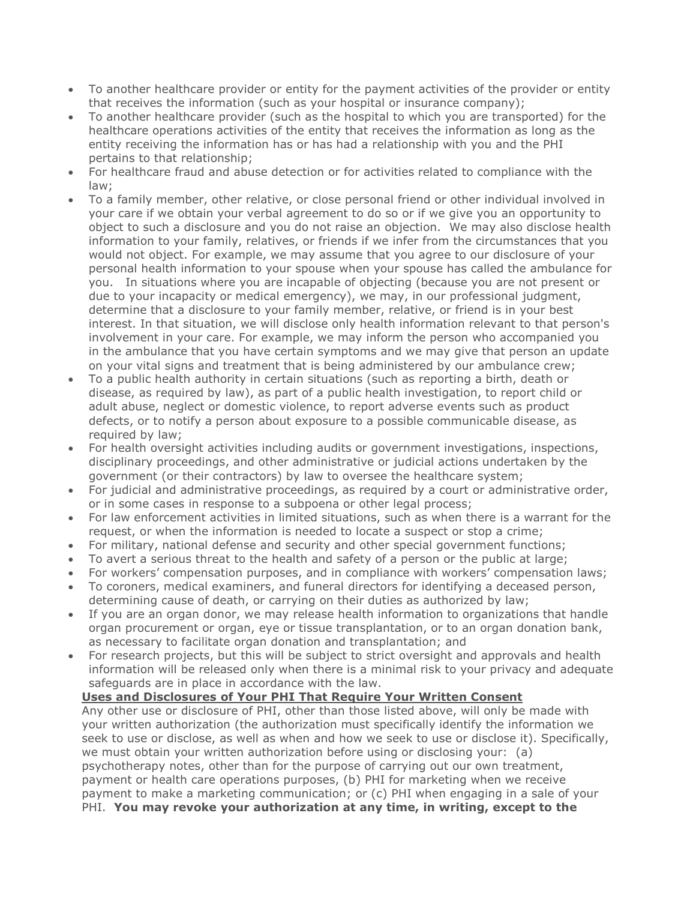- To another healthcare provider or entity for the payment activities of the provider or entity that receives the information (such as your hospital or insurance company);
- To another healthcare provider (such as the hospital to which you are transported) for the healthcare operations activities of the entity that receives the information as long as the entity receiving the information has or has had a relationship with you and the PHI pertains to that relationship;
- For healthcare fraud and abuse detection or for activities related to compliance with the law;
- To a family member, other relative, or close personal friend or other individual involved in your care if we obtain your verbal agreement to do so or if we give you an opportunity to object to such a disclosure and you do not raise an objection. We may also disclose health information to your family, relatives, or friends if we infer from the circumstances that you would not object. For example, we may assume that you agree to our disclosure of your personal health information to your spouse when your spouse has called the ambulance for you. In situations where you are incapable of objecting (because you are not present or due to your incapacity or medical emergency), we may, in our professional judgment, determine that a disclosure to your family member, relative, or friend is in your best interest. In that situation, we will disclose only health information relevant to that person's involvement in your care. For example, we may inform the person who accompanied you in the ambulance that you have certain symptoms and we may give that person an update on your vital signs and treatment that is being administered by our ambulance crew;
- To a public health authority in certain situations (such as reporting a birth, death or disease, as required by law), as part of a public health investigation, to report child or adult abuse, neglect or domestic violence, to report adverse events such as product defects, or to notify a person about exposure to a possible communicable disease, as required by law;
- For health oversight activities including audits or government investigations, inspections, disciplinary proceedings, and other administrative or judicial actions undertaken by the government (or their contractors) by law to oversee the healthcare system;
- For judicial and administrative proceedings, as required by a court or administrative order, or in some cases in response to a subpoena or other legal process;
- For law enforcement activities in limited situations, such as when there is a warrant for the request, or when the information is needed to locate a suspect or stop a crime;
- For military, national defense and security and other special government functions;
- To avert a serious threat to the health and safety of a person or the public at large;
- For workers' compensation purposes, and in compliance with workers' compensation laws;
- To coroners, medical examiners, and funeral directors for identifying a deceased person, determining cause of death, or carrying on their duties as authorized by law;
- If you are an organ donor, we may release health information to organizations that handle organ procurement or organ, eye or tissue transplantation, or to an organ donation bank, as necessary to facilitate organ donation and transplantation; and
- For research projects, but this will be subject to strict oversight and approvals and health information will be released only when there is a minimal risk to your privacy and adequate safeguards are in place in accordance with the law.

## **Uses and Disclosures of Your PHI That Require Your Written Consent**

Any other use or disclosure of PHI, other than those listed above, will only be made with your written authorization (the authorization must specifically identify the information we seek to use or disclose, as well as when and how we seek to use or disclose it). Specifically, we must obtain your written authorization before using or disclosing your: (a) psychotherapy notes, other than for the purpose of carrying out our own treatment, payment or health care operations purposes, (b) PHI for marketing when we receive payment to make a marketing communication; or (c) PHI when engaging in a sale of your PHI. **You may revoke your authorization at any time, in writing, except to the**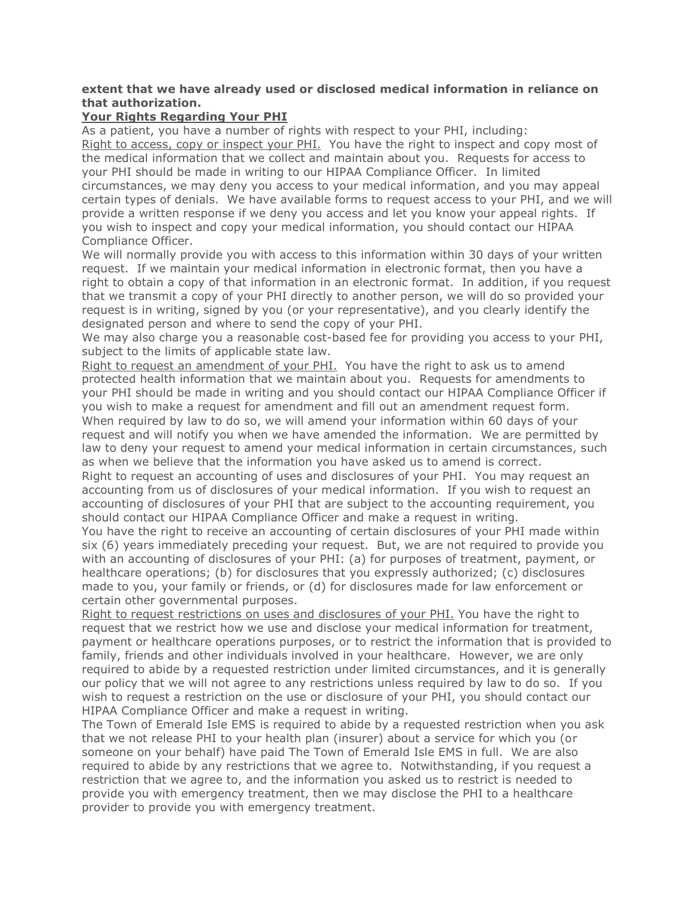#### **extent that we have already used or disclosed medical information in reliance on that authorization.**

### **Your Rights Regarding Your PHI**

As a patient, you have a number of rights with respect to your PHI, including: Right to access, copy or inspect your PHI. You have the right to inspect and copy most of the medical information that we collect and maintain about you. Requests for access to your PHI should be made in writing to our HIPAA Compliance Officer. In limited circumstances, we may deny you access to your medical information, and you may appeal certain types of denials. We have available forms to request access to your PHI, and we will provide a written response if we deny you access and let you know your appeal rights. If you wish to inspect and copy your medical information, you should contact our HIPAA Compliance Officer.

We will normally provide you with access to this information within 30 days of your written request. If we maintain your medical information in electronic format, then you have a right to obtain a copy of that information in an electronic format. In addition, if you request that we transmit a copy of your PHI directly to another person, we will do so provided your request is in writing, signed by you (or your representative), and you clearly identify the designated person and where to send the copy of your PHI.

We may also charge you a reasonable cost-based fee for providing you access to your PHI, subject to the limits of applicable state law.

Right to request an amendment of your PHI. You have the right to ask us to amend protected health information that we maintain about you. Requests for amendments to your PHI should be made in writing and you should contact our HIPAA Compliance Officer if you wish to make a request for amendment and fill out an amendment request form. When required by law to do so, we will amend your information within 60 days of your request and will notify you when we have amended the information. We are permitted by law to deny your request to amend your medical information in certain circumstances, such as when we believe that the information you have asked us to amend is correct.

Right to request an accounting of uses and disclosures of your PHI. You may request an accounting from us of disclosures of your medical information. If you wish to request an accounting of disclosures of your PHI that are subject to the accounting requirement, you should contact our HIPAA Compliance Officer and make a request in writing.

You have the right to receive an accounting of certain disclosures of your PHI made within six (6) years immediately preceding your request. But, we are not required to provide you with an accounting of disclosures of your PHI: (a) for purposes of treatment, payment, or healthcare operations; (b) for disclosures that you expressly authorized; (c) disclosures made to you, your family or friends, or (d) for disclosures made for law enforcement or certain other governmental purposes.

Right to request restrictions on uses and disclosures of your PHI. You have the right to request that we restrict how we use and disclose your medical information for treatment, payment or healthcare operations purposes, or to restrict the information that is provided to family, friends and other individuals involved in your healthcare. However, we are only required to abide by a requested restriction under limited circumstances, and it is generally our policy that we will not agree to any restrictions unless required by law to do so. If you wish to request a restriction on the use or disclosure of your PHI, you should contact our HIPAA Compliance Officer and make a request in writing.

The Town of Emerald Isle EMS is required to abide by a requested restriction when you ask that we not release PHI to your health plan (insurer) about a service for which you (or someone on your behalf) have paid The Town of Emerald Isle EMS in full. We are also required to abide by any restrictions that we agree to. Notwithstanding, if you request a restriction that we agree to, and the information you asked us to restrict is needed to provide you with emergency treatment, then we may disclose the PHI to a healthcare provider to provide you with emergency treatment.